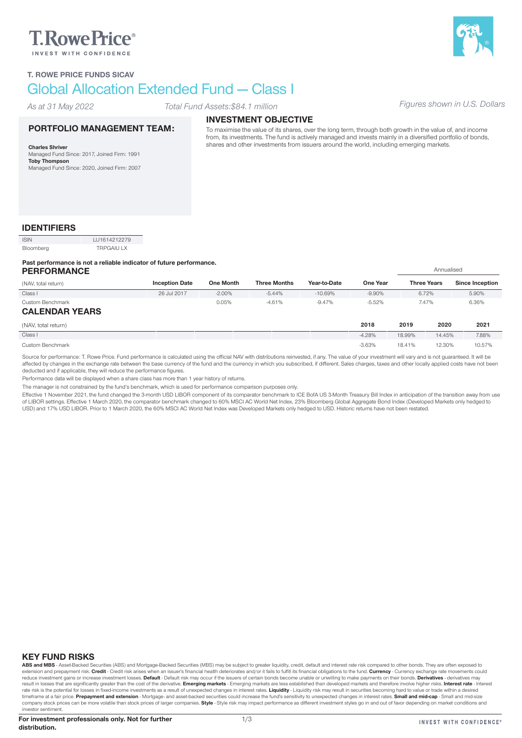# **T.RowePrice**®



#### T. ROWE PRICE FUNDS SICAV

## Global Allocation Extended Fund — Class I

*As at 31 May 2022*

#### *Total Fund Assets:\$84.1 million Figures shown in U.S. Dollars*

#### PORTFOLIO MANAGEMENT TEAM:

Charles Shriver Managed Fund Since: 2017, Joined Firm: 1991 Toby Thompson Managed Fund Since: 2020, Joined Firm: 2007

## INVESTMENT OBJECTIVE

To maximise the value of its shares, over the long term, through both growth in the value of, and income from, its investments. The fund is actively managed and invests mainly in a diversified portfolio of bonds, shares and other investments from issuers around the world, including emerging markets.

### IDENTIFIERS

| <b>ISIN</b> | LU1614212279      |
|-------------|-------------------|
| Bloomberg   | <b>TRPGAIU LX</b> |

#### Past performance is not a reliable indicator of future performance.

| <b>PERFORMANCE</b>    |                       |                  |                     |              |                 |        | Annualised         |                        |
|-----------------------|-----------------------|------------------|---------------------|--------------|-----------------|--------|--------------------|------------------------|
| (NAV, total return)   | <b>Inception Date</b> | <b>One Month</b> | <b>Three Months</b> | Year-to-Date | <b>One Year</b> |        | <b>Three Years</b> | <b>Since Inception</b> |
| Class I               | 26 Jul 2017           | $-2.00\%$        | $-5.44%$            | $-10.69%$    | $-9.90%$        |        | 6.72%              | 5.90%                  |
| Custom Benchmark      |                       | 0.05%            | $-4.61%$            | $-9.47%$     | $-5.52%$        |        | 7.47%              | 6.36%                  |
| <b>CALENDAR YEARS</b> |                       |                  |                     |              |                 |        |                    |                        |
| (NAV, total return)   |                       |                  |                     |              | 2018            | 2019   | 2020               | 2021                   |
| Class I               |                       |                  |                     |              | $-4.28%$        | 18.99% | 14.45%             | 7.88%                  |
| Custom Benchmark      |                       |                  |                     |              | $-3.63%$        | 18.41% | 12.30%             | 10.57%                 |

Source for performance: T. Rowe Price. Fund performance is calculated using the official NAV with distributions reinvested, if any. The value of your investment will vary and is not guaranteed. It will be affected by changes in the exchange rate between the base currency of the fund and the currency in which you subscribed, if different. Sales charges, taxes and other locally applied costs have not been deducted and if applicable, they will reduce the performance figures.

Performance data will be displayed when a share class has more than 1 year history of returns.

The manager is not constrained by the fund's benchmark, which is used for performance comparison purposes only.

Effective 1 November 2021, the fund changed the 3-month USD LIBOR component of its comparator benchmark to ICE BofA US 3-Month Treasury Bill Index in anticipation of the transition away from use<br>of LIBOR settings. Effectiv USD) and 17% USD LIBOR. Prior to 1 March 2020, the 60% MSCI AC World Net Index was Developed Markets only hedged to USD. Historic returns have not been restated.

#### KEY FUND RISKS

ABS and MBS - Asset-Backed Securities (ABS) and Mortgage-Backed Securities (MBS) may be subject to greater liquidity, credit, default and interest rate risk compared to other bonds. They are often exposed to extension and prepayment risk. Credit - Credit risk arises when an issuer's financial health deteriorates and/or it fails to fulfill its financial obligations to the fund. Currency - Currency exchange rate movements could reduce investment gains or increase investment losses. Default - Default risk may occur if the issuers of certain bonds become unable or unwilling to make payments on their bonds. Derivatives - derivatives may result in losses that are significantly greater than the cost of the derivative. Emerging markets - Emerging markets are less established than developed markets and therefore involve higher risks. Interest rate - Interest rate risk is the potential for losses in fixed-income investments as a result of unexpected changes in interest rates. L**iquidity** - Liquidity risk may result in securities becoming hard to value or trade within a desired<br> company stock prices can be more volatile than stock prices of larger companies. Style - Style risk may impact performance as different investment styles go in and out of favor depending on market conditions and investor sentiment.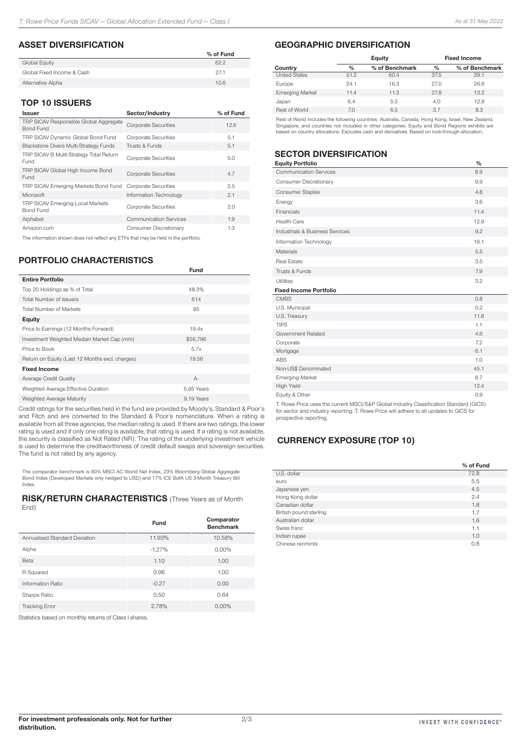#### ASSET DIVERSIFICATION

|                            | % of Fund |
|----------------------------|-----------|
| Global Equity              | 62.2      |
| Global Fixed Income & Cash | 27.1      |
| Alternative Alpha          | 10.6      |

#### TOP 10 ISSUERS

| <b>Issuer</b>                                              | Sector/Industry               | % of Fund |
|------------------------------------------------------------|-------------------------------|-----------|
| TRP SICAV Responsible Global Aggregate<br><b>Bond Fund</b> | <b>Corporate Securities</b>   | 12.6      |
| TRP SICAV Dynamic Global Bond Fund                         | <b>Corporate Securities</b>   | 5.1       |
| Blackstone Divers Multi-Strategy Funds                     | Trusts & Funds                | 5.1       |
| TRP SICAV B Multi-Strategy Total Return<br>Fund            | <b>Corporate Securities</b>   | 5.0       |
| TRP SICAV Global High Income Bond<br>Fund                  | <b>Corporate Securities</b>   | 4.7       |
| TRP SICAV Emerging Markets Bond Fund                       | <b>Corporate Securities</b>   | 2.5       |
| Microsoft                                                  | Information Technology        | 2.1       |
| TRP SICAV Emerging Local Markets<br><b>Bond Fund</b>       | <b>Corporate Securities</b>   | 2.0       |
| Alphabet                                                   | <b>Communication Services</b> | 1.9       |
| Amazon.com                                                 | Consumer Discretionary        | 1.3       |

The information shown does not reflect any ETFs that may be held in the portfolio.

#### PORTFOLIO CHARACTERISTICS

|                                                 | <b>Fund</b> |
|-------------------------------------------------|-------------|
| <b>Entire Portfolio</b>                         |             |
| Top 20 Holdings as % of Total                   | 48.3%       |
| <b>Total Number of Issuers</b>                  | 614         |
| <b>Total Number of Markets</b>                  | 95          |
| Equity                                          |             |
| Price to Earnings (12 Months Forward)           | 19.4x       |
| Investment Weighted Median Market Cap (mm)      | \$56,796    |
| Price to Book                                   | 5.7x        |
| Return on Equity (Last 12 Months excl. charges) | 19.56       |
| <b>Fixed Income</b>                             |             |
| Average Credit Quality                          | $A -$       |
| Weighted Average Effective Duration             | 5.95 Years  |
| Weighted Average Maturity                       | 9.19 Years  |

Credit ratings for the securities held in the fund are provided by Moody's, Standard & Poor's and Fitch and are converted to the Standard & Poor's nomenclature. When a rating is available from all three agencies, the median rating is used. If there are two ratings, the lower rating is used and if only one rating is available, that rating is used. If a rating is not available, the security is classified as Not Rated (NR). The rating of the underlying investment vehicle is used to determine the creditworthiness of credit default swaps and sovereign securities. The fund is not rated by any agency.

The comparator benchmark is 60% MSCI AC World Net Index, 23% Bloomberg Global Aggregate Bond Index (Developed Markets only hedged to USD) and 17% ICE BofA US 3-Month Treasury Bill Index.

#### RISK/RETURN CHARACTERISTICS (Three Years as of Month End)

|                               | Fund     | Comparator<br><b>Benchmark</b> |
|-------------------------------|----------|--------------------------------|
| Annualised Standard Deviation | 11.93%   | 10.58%                         |
| Alpha                         | $-1.27%$ | $0.00\%$                       |
| Beta                          | 1.10     | 1.00                           |
| R-Squared                     | 0.96     | 1.00                           |
| <b>Information Ratio</b>      | $-0.27$  | 0.00                           |
| Sharpe Ratio                  | 0.50     | 0.64                           |
| <b>Tracking Error</b>         | 2.78%    | 0.00%                          |

Statistics based on monthly returns of Class I shares.

## GEOGRAPHIC DIVERSIFICATION

|                        |      | Equity         |      | <b>Fixed Income</b> |  |  |
|------------------------|------|----------------|------|---------------------|--|--|
| Country                | $\%$ | % of Benchmark | $\%$ | % of Benchmark      |  |  |
| <b>United States</b>   | 51.2 | 60.4           | 37.5 | 39.1                |  |  |
| Europe                 | 24.1 | 16.3           | 27.0 | 26.6                |  |  |
| <b>Emerging Market</b> | 11.4 | 11.3           | 27.8 | 13.2                |  |  |
| Japan                  | 6.4  | 5.5            | 4.0  | 12.9                |  |  |
| Rest of World          | 7.0  | 6.5            | 3.7  | 8.3                 |  |  |

Rest of World includes the following countries: Australia, Canada, Hong Kong, Israel, New Zealand, Singapore, and countries not included in other categories. Equity and Bond Regions exhibits are based on country allocations. Excludes cash and derivatives. Based on look-through allocation.

## SECTOR DIVERSIFICATION

| <b>Equity Portfolio</b>         | $\frac{0}{0}$ |
|---------------------------------|---------------|
| <b>Communication Services</b>   | 8.9           |
| Consumer Discretionary          | 9.9           |
| <b>Consumer Staples</b>         | 4.8           |
| Energy                          | 3.6           |
| Financials                      | 11.4          |
| <b>Health Care</b>              | 12.9          |
| Industrials & Business Services | 9.2           |
| Information Technology          | 19.1          |
| Materials                       | 5.5           |
| Real Estate                     | 3.5           |
| Trusts & Funds                  | 7.9           |
| Utilities                       | 3.2           |
| <b>Fixed Income Portfolio</b>   |               |
| <b>CMBS</b>                     | 0.8           |
| U.S. Municipal                  | 0.2           |
| U.S. Treasury                   | 11.8          |
| <b>TIPS</b>                     | 1.1           |
| Government Related              | 4.6           |
| Corporate                       | 7.2           |
| Mortgage                        | 6.1           |
| <b>ABS</b>                      | 1.0           |
| Non-US\$ Denominated            | 45.1          |
| <b>Emerging Market</b>          | 8.7           |
| <b>High Yield</b>               | 12.4          |
| Equity & Other                  | 0.9           |
|                                 |               |

T. Rowe Price uses the current MSCI/S&P Global Industry Classification Standard (GICS) for sector and industry reporting. T. Rowe Price will adhere to all updates to GICS for prospective reporting.

## CURRENCY EXPOSURE (TOP 10)

|                        | % of Fund |
|------------------------|-----------|
| U.S. dollar            | 72.8      |
| euro                   | 5.5       |
| Japanese yen           | 4.5       |
| Hong Kong dollar       | 2.4       |
| Canadian dollar        | 1.8       |
| British pound sterling | 1.7       |
| Australian dollar      | 1.6       |
| Swiss franc            | 1.1       |
| Indian rupee           | 1.0       |
| Chinese renminbi       | 0.8       |